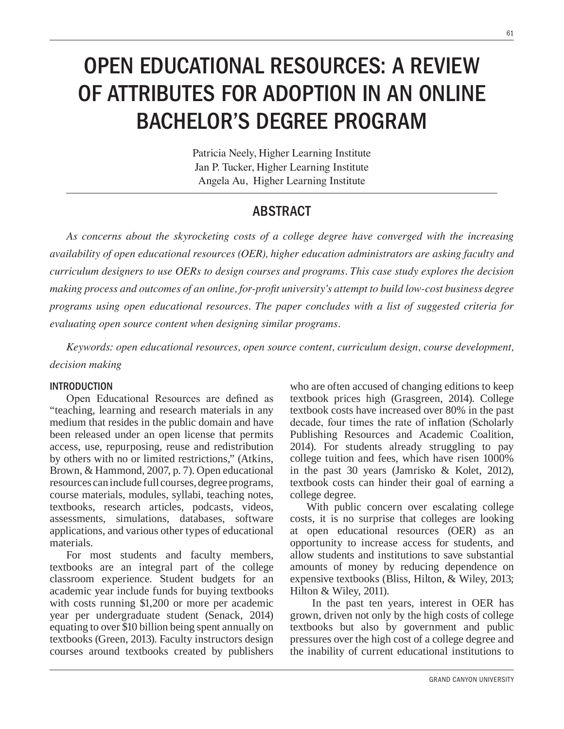# OPEN EDUCATIONAL RESOURCES: A REVIEW OF ATTRIBUTES FOR ADOPTION IN AN ONLINE BACHELOR'S DEGREE PROGRAM

Patricia Neely, Higher Learning Institute Jan P. Tucker, Higher Learning Institute Angela Au, Higher Learning Institute

# ABSTRACT

As concerns about the skyrocketing costs of a college degree have converged with the increasing *dialability of open educational resources (OER), higher education administrators are asking faculty and Curriculum designers to use OERs to design courses and programs. This case study explores the decision PDILQF Process and outcomes of an online, for-profit university's attempt to build low-cost business degree programs using open educational resources. The paper concludes with a list of suggested criteria for evaluating open source content when designing similar programs.* 

Keywords: open educational resources, open source content, curriculum design, course development, *decision making* 

### INTRODUCTION

Open Educational Resources are defined as "teaching, learning and research materials in any medium that resides in the public domain and have been released under an open license that permits access, use, repurposing, reuse and redistribution by others with no or limited restrictions," (Atkins, Brown, & Hammond, 2007, p. 7). Open educational resources can include full courses, degree programs, course materials, modules, syllabi, teaching notes, textbooks, research articles, podcasts, videos, assessments, simulations, databases, software applications, and various other types of educational materials.

For most students and faculty members, textbooks are an integral part of the college classroom experience. Student budgets for an academic year include funds for buying textbooks with costs running \$1,200 or more per academic year per undergraduate student (Senack, 2014) equating to over \$10 billion being spent annually on textbooks (Green, 2013). Faculty instructors design courses around textbooks created by publishers

who are often accused of changing editions to keep textbook prices high (Grasgreen, 2014). College textbook costs have increased over 80% in the past decade, four times the rate of inflation (Scholarly Publishing Resources and Academic Coalition, 2014). For students already struggling to pay college tuition and fees, which have risen 1000% in the past 30 years (Jamrisko & Kolet, 2012), textbook costs can hinder their goal of earning a college degree.

With public concern over escalating college costs, it is no surprise that colleges are looking at open educational resources (OER) as an opportunity to increase access for students, and allow students and institutions to save substantial amounts of money by reducing dependence on expensive textbooks (Bliss, Hilton, & Wiley, 2013; Hilton & Wiley, 2011).

 In the past ten years, interest in OER has grown, driven not only by the high costs of college textbooks but also by government and public pressures over the high cost of a college degree and the inability of current educational institutions to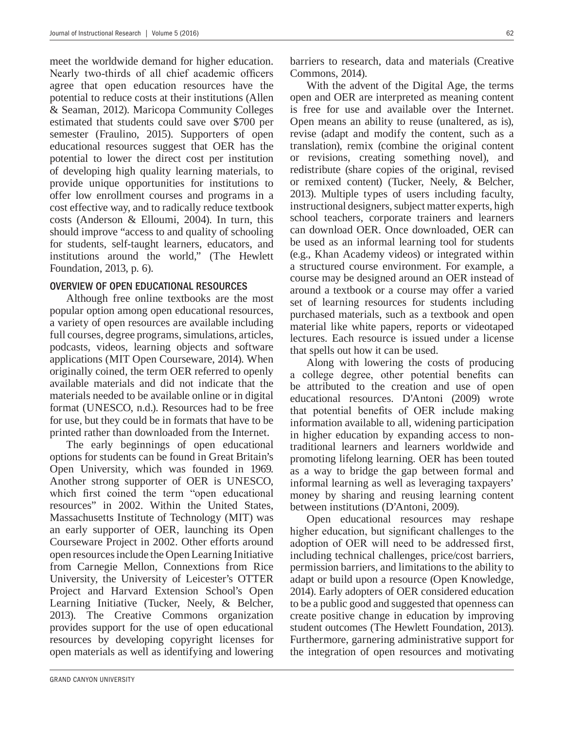meet the worldwide demand for higher education. Nearly two-thirds of all chief academic officers agree that open education resources have the potential to reduce costs at their institutions (Allen & Seaman, 2012). Maricopa Community Colleges estimated that students could save over \$700 per semester (Fraulino, 2015). Supporters of open educational resources suggest that OER has the potential to lower the direct cost per institution of developing high quality learning materials, to provide unique opportunities for institutions to offer low enrollment courses and programs in a cost effective way, and to radically reduce textbook costs (Anderson & Elloumi, 2004). In turn, this should improve "access to and quality of schooling for students, self-taught learners, educators, and institutions around the world," (The Hewlett Foundation, 2013, p. 6).

#### OVERVIEW OF OPEN EDUCATIONAL RESOURCES

Although free online textbooks are the most popular option among open educational resources, a variety of open resources are available including full courses, degree programs, simulations, articles, podcasts, videos, learning objects and software applications (MIT Open Courseware, 2014). When originally coined, the term OER referred to openly available materials and did not indicate that the materials needed to be available online or in digital format (UNESCO, n.d.). Resources had to be free for use, but they could be in formats that have to be printed rather than downloaded from the Internet.

The early beginnings of open educational options for students can be found in Great Britain's Open University, which was founded in 1969. Another strong supporter of OER is UNESCO, which first coined the term "open educational resources" in 2002. Within the United States, Massachusetts Institute of Technology (MIT) was an early supporter of OER, launching its Open Courseware Project in 2002. Other efforts around open resources include the Open Learning Initiative from Carnegie Mellon, Connextions from Rice University, the University of Leicester's OTTER Project and Harvard Extension School's Open Learning Initiative (Tucker, Neely, & Belcher, 2013). The Creative Commons organization provides support for the use of open educational resources by developing copyright licenses for open materials as well as identifying and lowering

barriers to research, data and materials (Creative Commons, 2014).

With the advent of the Digital Age, the terms open and OER are interpreted as meaning content is free for use and available over the Internet. Open means an ability to reuse (unaltered, as is), revise (adapt and modify the content, such as a translation), remix (combine the original content or revisions, creating something novel), and redistribute (share copies of the original, revised or remixed content) (Tucker, Neely, & Belcher, 2013). Multiple types of users including faculty, instructional designers, subject matter experts, high school teachers, corporate trainers and learners can download OER. Once downloaded, OER can be used as an informal learning tool for students (e.g., Khan Academy videos) or integrated within a structured course environment. For example, a course may be designed around an OER instead of around a textbook or a course may offer a varied set of learning resources for students including purchased materials, such as a textbook and open material like white papers, reports or videotaped lectures. Each resource is issued under a license that spells out how it can be used.

Along with lowering the costs of producing a college degree, other potential benefits can be attributed to the creation and use of open educational resources. D'Antoni (2009) wrote that potential benefits of OER include making information available to all, widening participation in higher education by expanding access to nontraditional learners and learners worldwide and promoting lifelong learning. OER has been touted as a way to bridge the gap between formal and informal learning as well as leveraging taxpayers' money by sharing and reusing learning content between institutions (D'Antoni, 2009).

Open educational resources may reshape higher education, but significant challenges to the adoption of OER will need to be addressed first, including technical challenges, price/cost barriers, permission barriers, and limitations to the ability to adapt or build upon a resource (Open Knowledge, 2014). Early adopters of OER considered education to be a public good and suggested that openness can create positive change in education by improving student outcomes (The Hewlett Foundation, 2013). Furthermore, garnering administrative support for the integration of open resources and motivating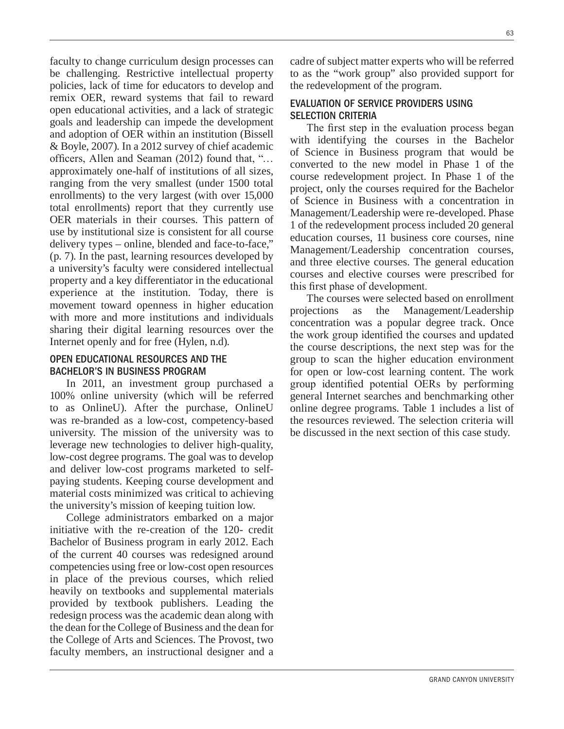faculty to change curriculum design processes can be challenging. Restrictive intellectual property policies, lack of time for educators to develop and remix OER, reward systems that fail to reward open educational activities, and a lack of strategic goals and leadership can impede the development and adoption of OER within an institution (Bissell & Boyle, 2007). In a 2012 survey of chief academic officers, Allen and Seaman  $(2012)$  found that, "... approximately one-half of institutions of all sizes, ranging from the very smallest (under 1500 total enrollments) to the very largest (with over 15,000 total enrollments) report that they currently use OER materials in their courses. This pattern of use by institutional size is consistent for all course delivery types – online, blended and face-to-face," (p. 7). In the past, learning resources developed by a university's faculty were considered intellectual property and a key differentiator in the educational experience at the institution. Today, there is movement toward openness in higher education with more and more institutions and individuals sharing their digital learning resources over the Internet openly and for free (Hylen, n.d).

#### OPEN EDUCATIONAL RESOURCES AND THE BACHELOR'S IN BUSINESS PROGRAM

In 2011, an investment group purchased a 100% online university (which will be referred to as OnlineU). After the purchase, OnlineU was re-branded as a low-cost, competency-based university. The mission of the university was to leverage new technologies to deliver high-quality, low-cost degree programs. The goal was to develop and deliver low-cost programs marketed to selfpaying students. Keeping course development and material costs minimized was critical to achieving the university's mission of keeping tuition low.

College administrators embarked on a major initiative with the re-creation of the 120- credit Bachelor of Business program in early 2012. Each of the current 40 courses was redesigned around competencies using free or low-cost open resources in place of the previous courses, which relied heavily on textbooks and supplemental materials provided by textbook publishers. Leading the redesign process was the academic dean along with the dean for the College of Business and the dean for the College of Arts and Sciences. The Provost, two faculty members, an instructional designer and a

cadre of subject matter experts who will be referred to as the "work group" also provided support for the redevelopment of the program.

### EVALUATION OF SERVICE PROVIDERS USING SELECTION CRITERIA

The first step in the evaluation process began with identifying the courses in the Bachelor of Science in Business program that would be converted to the new model in Phase 1 of the course redevelopment project. In Phase 1 of the project, only the courses required for the Bachelor of Science in Business with a concentration in Management/Leadership were re-developed. Phase 1 of the redevelopment process included 20 general education courses, 11 business core courses, nine Management/Leadership concentration courses, and three elective courses. The general education courses and elective courses were prescribed for this first phase of development.

The courses were selected based on enrollment projections as the Management/Leadership concentration was a popular degree track. Once the work group identified the courses and updated the course descriptions, the next step was for the group to scan the higher education environment for open or low-cost learning content. The work group identified potential OERs by performing general Internet searches and benchmarking other online degree programs. Table 1 includes a list of the resources reviewed. The selection criteria will be discussed in the next section of this case study.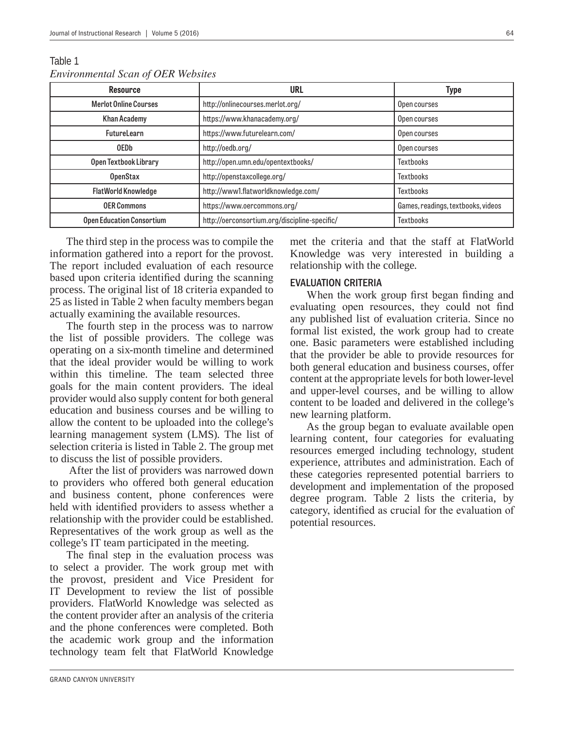| <b>Resource</b>                  | URL                                           | <b>Type</b>                        |
|----------------------------------|-----------------------------------------------|------------------------------------|
| <b>Merlot Online Courses</b>     | http://onlinecourses.merlot.org/              | Open courses                       |
| <b>Khan Academy</b>              | https://www.khanacademy.org/                  | Open courses                       |
| <b>FutureLearn</b>               | https://www.futurelearn.com/                  | Open courses                       |
| <b>OEDb</b>                      | http://oedb.org/                              | Open courses                       |
| Open Textbook Library            | http://open.umn.edu/opentextbooks/            | <b>Textbooks</b>                   |
| <b>OpenStax</b>                  | http://openstaxcollege.org/                   | <b>Textbooks</b>                   |
| <b>FlatWorld Knowledge</b>       | http://www1.flatworldknowledge.com/           | <b>Textbooks</b>                   |
| <b>OER Commons</b>               | https://www.oercommons.org/                   | Games, readings, textbooks, videos |
| <b>Open Education Consortium</b> | http://oerconsortium.org/discipline-specific/ | <b>Textbooks</b>                   |

Table 1 *Environmental Scan of OER Websites* 

The third step in the process was to compile the information gathered into a report for the provost. The report included evaluation of each resource based upon criteria identified during the scanning process. The original list of 18 criteria expanded to 25 as listed in Table 2 when faculty members began actually examining the available resources.

The fourth step in the process was to narrow the list of possible providers. The college was operating on a six-month timeline and determined that the ideal provider would be willing to work within this timeline. The team selected three goals for the main content providers. The ideal provider would also supply content for both general education and business courses and be willing to allow the content to be uploaded into the college's learning management system (LMS). The list of selection criteria is listed in Table 2. The group met to discuss the list of possible providers.

 After the list of providers was narrowed down to providers who offered both general education and business content, phone conferences were held with identified providers to assess whether a relationship with the provider could be established. Representatives of the work group as well as the college's IT team participated in the meeting.

The final step in the evaluation process was to select a provider. The work group met with the provost, president and Vice President for IT Development to review the list of possible providers. FlatWorld Knowledge was selected as the content provider after an analysis of the criteria and the phone conferences were completed. Both the academic work group and the information technology team felt that FlatWorld Knowledge

met the criteria and that the staff at FlatWorld Knowledge was very interested in building a relationship with the college.

### EVALUATION CRITERIA

When the work group first began finding and evaluating open resources, they could not find any published list of evaluation criteria. Since no formal list existed, the work group had to create one. Basic parameters were established including that the provider be able to provide resources for both general education and business courses, offer content at the appropriate levels for both lower-level and upper-level courses, and be willing to allow content to be loaded and delivered in the college's new learning platform.

As the group began to evaluate available open learning content, four categories for evaluating resources emerged including technology, student experience, attributes and administration. Each of these categories represented potential barriers to development and implementation of the proposed degree program. Table 2 lists the criteria, by category, identified as crucial for the evaluation of potential resources.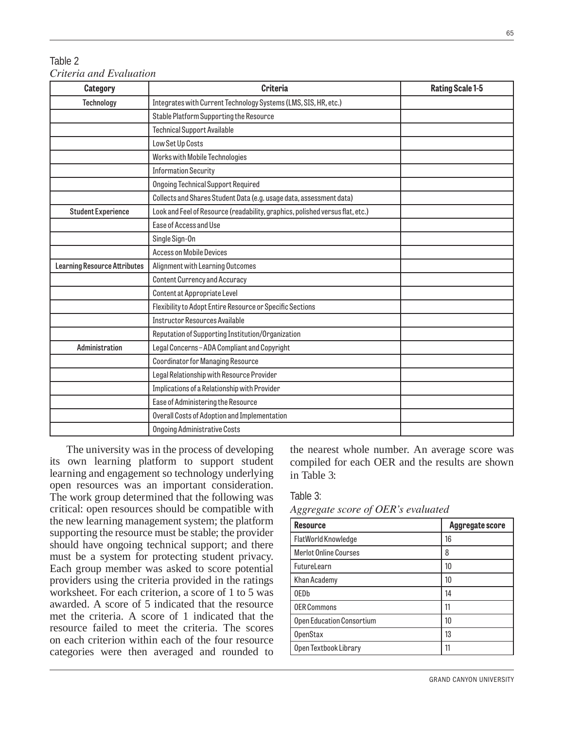## Table 2 *Criteria and Evaluation*

| Category                            | <b>Criteria</b>                                                               | <b>Rating Scale 1-5</b> |
|-------------------------------------|-------------------------------------------------------------------------------|-------------------------|
| <b>Technology</b>                   | Integrates with Current Technology Systems (LMS, SIS, HR, etc.)               |                         |
|                                     | Stable Platform Supporting the Resource                                       |                         |
|                                     | <b>Technical Support Available</b>                                            |                         |
|                                     | Low Set Up Costs                                                              |                         |
|                                     | Works with Mobile Technologies                                                |                         |
|                                     | <b>Information Security</b>                                                   |                         |
|                                     | <b>Ongoing Technical Support Required</b>                                     |                         |
|                                     | Collects and Shares Student Data (e.g. usage data, assessment data)           |                         |
| <b>Student Experience</b>           | Look and Feel of Resource (readability, graphics, polished versus flat, etc.) |                         |
|                                     | Ease of Access and Use                                                        |                         |
|                                     | Single Sign-On                                                                |                         |
|                                     | <b>Access on Mobile Devices</b>                                               |                         |
| <b>Learning Resource Attributes</b> | Alignment with Learning Outcomes                                              |                         |
|                                     | <b>Content Currency and Accuracy</b>                                          |                         |
|                                     | Content at Appropriate Level                                                  |                         |
|                                     | Flexibility to Adopt Entire Resource or Specific Sections                     |                         |
|                                     | <b>Instructor Resources Available</b>                                         |                         |
|                                     | Reputation of Supporting Institution/Organization                             |                         |
| Administration                      | Legal Concerns-ADA Compliant and Copyright                                    |                         |
|                                     | <b>Coordinator for Managing Resource</b>                                      |                         |
|                                     | Legal Relationship with Resource Provider                                     |                         |
|                                     | Implications of a Relationship with Provider                                  |                         |
|                                     | Ease of Administering the Resource                                            |                         |
|                                     | Overall Costs of Adoption and Implementation                                  |                         |
|                                     | <b>Ongoing Administrative Costs</b>                                           |                         |

The university was in the process of developing its own learning platform to support student learning and engagement so technology underlying open resources was an important consideration. The work group determined that the following was critical: open resources should be compatible with the new learning management system; the platform supporting the resource must be stable; the provider should have ongoing technical support; and there must be a system for protecting student privacy. Each group member was asked to score potential providers using the criteria provided in the ratings worksheet. For each criterion, a score of 1 to 5 was awarded. A score of 5 indicated that the resource met the criteria. A score of 1 indicated that the resource failed to meet the criteria. The scores on each criterion within each of the four resource categories were then averaged and rounded to

the nearest whole number. An average score was compiled for each OER and the results are shown in Table 3:

Table 3:

Aggregate score of OER's evaluated

| <b>Resource</b>              | Aggregate score |
|------------------------------|-----------------|
| FlatWorld Knowledge          | 16              |
| <b>Merlot Online Courses</b> | 8               |
| FutureLearn                  | 10              |
| Khan Academy                 | 10              |
| 0ED <sub>b</sub>             | 14              |
| <b>OER Commons</b>           | 11              |
| Open Education Consortium    | 10              |
| <b>OpenStax</b>              | 13              |
| Open Textbook Library        | 11              |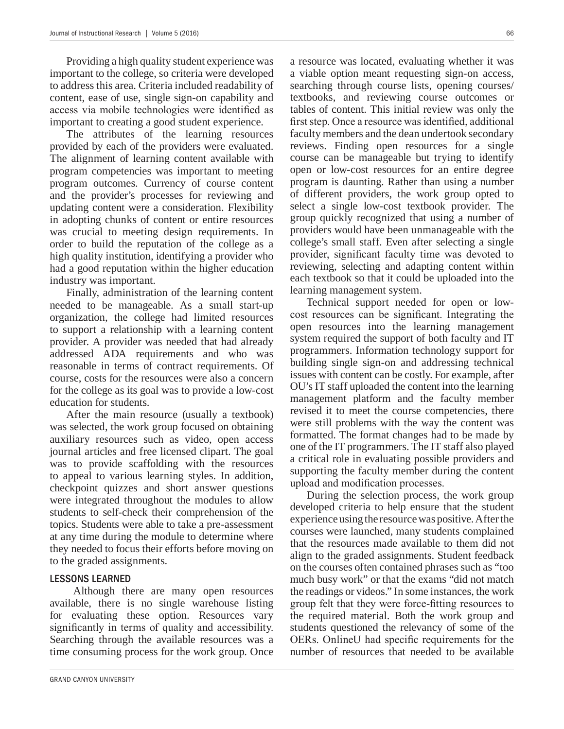Providing a high quality student experience was important to the college, so criteria were developed to address this area. Criteria included readability of content, ease of use, single sign-on capability and access via mobile technologies were identified as important to creating a good student experience.

The attributes of the learning resources provided by each of the providers were evaluated. The alignment of learning content available with program competencies was important to meeting program outcomes. Currency of course content and the provider's processes for reviewing and updating content were a consideration. Flexibility in adopting chunks of content or entire resources was crucial to meeting design requirements. In order to build the reputation of the college as a high quality institution, identifying a provider who had a good reputation within the higher education industry was important.

Finally, administration of the learning content needed to be manageable. As a small start-up organization, the college had limited resources to support a relationship with a learning content provider. A provider was needed that had already addressed ADA requirements and who was reasonable in terms of contract requirements. Of course, costs for the resources were also a concern for the college as its goal was to provide a low-cost education for students.

After the main resource (usually a textbook) was selected, the work group focused on obtaining auxiliary resources such as video, open access journal articles and free licensed clipart. The goal was to provide scaffolding with the resources to appeal to various learning styles. In addition, checkpoint quizzes and short answer questions were integrated throughout the modules to allow students to self-check their comprehension of the topics. Students were able to take a pre-assessment at any time during the module to determine where they needed to focus their efforts before moving on to the graded assignments.

### LESSONS LEARNED

 Although there are many open resources available, there is no single warehouse listing for evaluating these option. Resources vary significantly in terms of quality and accessibility. Searching through the available resources was a time consuming process for the work group. Once a resource was located, evaluating whether it was a viable option meant requesting sign-on access, searching through course lists, opening courses/ textbooks, and reviewing course outcomes or tables of content. This initial review was only the first step. Once a resource was identified, additional faculty members and the dean undertook secondary reviews. Finding open resources for a single course can be manageable but trying to identify open or low-cost resources for an entire degree program is daunting. Rather than using a number of different providers, the work group opted to select a single low-cost textbook provider. The group quickly recognized that using a number of providers would have been unmanageable with the college's small staff. Even after selecting a single provider, significant faculty time was devoted to reviewing, selecting and adapting content within

learning management system. Technical support needed for open or lowcost resources can be significant. Integrating the open resources into the learning management system required the support of both faculty and IT programmers. Information technology support for building single sign-on and addressing technical issues with content can be costly. For example, after OU's IT staff uploaded the content into the learning management platform and the faculty member revised it to meet the course competencies, there were still problems with the way the content was formatted. The format changes had to be made by one of the IT programmers. The IT staff also played a critical role in evaluating possible providers and supporting the faculty member during the content upload and modification processes.

each textbook so that it could be uploaded into the

During the selection process, the work group developed criteria to help ensure that the student experience using the resource was positive. After the courses were launched, many students complained that the resources made available to them did not align to the graded assignments. Student feedback on the courses often contained phrases such as "too much busy work" or that the exams "did not match the readings or videos." In some instances, the work group felt that they were force-fitting resources to the required material. Both the work group and students questioned the relevancy of some of the OERs. Online U had specific requirements for the number of resources that needed to be available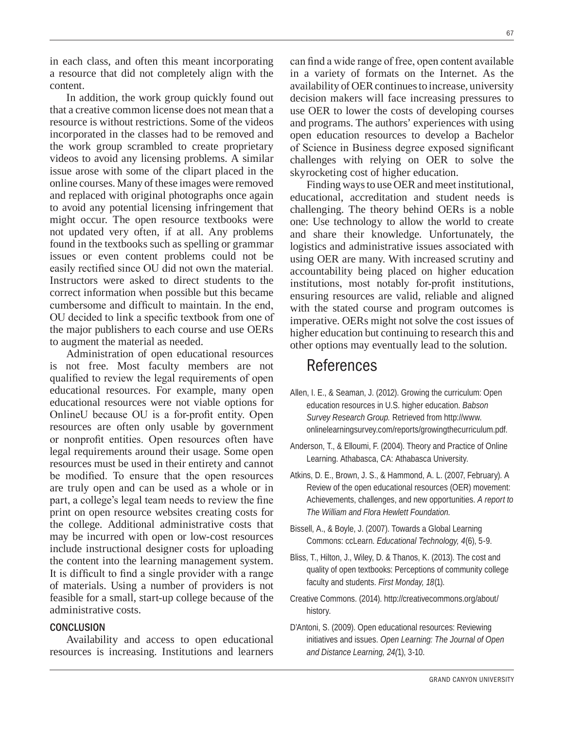in each class, and often this meant incorporating a resource that did not completely align with the content.

In addition, the work group quickly found out that a creative common license does not mean that a resource is without restrictions. Some of the videos incorporated in the classes had to be removed and the work group scrambled to create proprietary videos to avoid any licensing problems. A similar issue arose with some of the clipart placed in the online courses. Many of these images were removed and replaced with original photographs once again to avoid any potential licensing infringement that might occur. The open resource textbooks were not updated very often, if at all. Any problems found in the textbooks such as spelling or grammar issues or even content problems could not be easily rectified since OU did not own the material. Instructors were asked to direct students to the correct information when possible but this became cumbersome and difficult to maintain. In the end, OU decided to link a specific textbook from one of the major publishers to each course and use OERs to augment the material as needed.

Administration of open educational resources is not free. Most faculty members are not qualified to review the legal requirements of open educational resources. For example, many open educational resources were not viable options for OnlineU because OU is a for-profit entity. Open resources are often only usable by government or nonprofit entities. Open resources often have legal requirements around their usage. Some open resources must be used in their entirety and cannot be modified. To ensure that the open resources are truly open and can be used as a whole or in part, a college's legal team needs to review the fine print on open resource websites creating costs for the college. Additional administrative costs that may be incurred with open or low-cost resources include instructional designer costs for uploading the content into the learning management system. It is difficult to find a single provider with a range of materials. Using a number of providers is not feasible for a small, start-up college because of the administrative costs.

#### **CONCLUSION**

Availability and access to open educational resources is increasing. Institutions and learners can find a wide range of free, open content available in a variety of formats on the Internet. As the availability of OER continues to increase, university decision makers will face increasing pressures to use OER to lower the costs of developing courses and programs. The authors' experiences with using open education resources to develop a Bachelor of Science in Business degree exposed significant challenges with relying on OER to solve the skyrocketing cost of higher education.

Finding ways to use OER and meet institutional, educational, accreditation and student needs is challenging. The theory behind OERs is a noble one: Use technology to allow the world to create and share their knowledge. Unfortunately, the logistics and administrative issues associated with using OER are many. With increased scrutiny and accountability being placed on higher education institutions, most notably for-profit institutions, ensuring resources are valid, reliable and aligned with the stated course and program outcomes is imperative. OERs might not solve the cost issues of higher education but continuing to research this and other options may eventually lead to the solution.

# References References

- Allen, I. E., & Seaman, J. (2012). Growing the curriculum: Open education resources in U.S. higher education. *Babson Survey Research Group.* Retrieved from http://www. onlinelearningsurvey.com/reports/growingthecurriculum.pdf.
- Anderson, T., & Elloumi, F. (2004). Theory and Practice of Online Learning. Athabasca, CA: Athabasca University.
- Atkins, D. E., Brown, J. S., & Hammond, A. L. (2007, February). A Review of the open educational resources (OER) movement: Achievements, challenges, and new opportunities. *A report to The William and Flora Hewlett Foundation.*
- Bissell, A., & Boyle, J. (2007). Towards a Global Learning Commons: ccLearn. *Educational Technology, 4*(6), 5-9.
- Bliss, T., Hilton, J., Wiley, D. & Thanos, K. (2013). The cost and quality of open textbooks: Perceptions of community college faculty and students. *First Monday, 18*(1).
- Creative Commons. (2014). http://creativecommons.org/about/ history.
- D'Antoni, S. (2009). Open educational resources: Reviewing initiatives and issues. *Open Learning: The Journal of Open and Distance Learning, 24(*1), 3-10.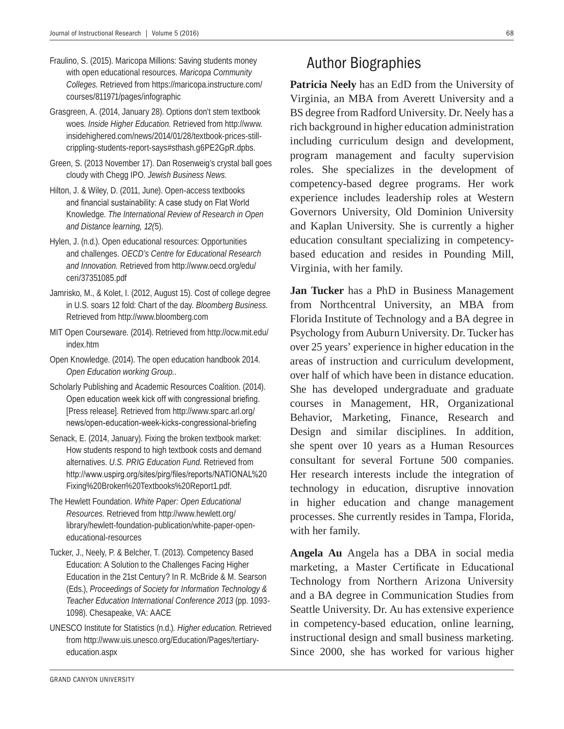- Fraulino, S. (2015). Maricopa Millions: Saving students money with open educational resources. *Maricopa Community Colleges.* Retrieved from https://maricopa.instructure.com/ courses/811971/pages/infographic
- Grasgreen, A. (2014, January 28). Options don't stem textbook woes. *Inside Higher Education.* Retrieved from http://www. insidehighered.com/news/2014/01/28/textbook-prices-stillcrippling-students-report-says#sthash.g6PE2GpR.dpbs.
- Green, S. (2013 November 17). Dan Rosenweig's crystal ball goes cloudy with Chegg IPO. *Jewish Business News.*
- Hilton, J. & Wiley, D. (2011, June). Open-access textbooks and financial sustainability: A case study on Flat World Knowledge. *The International Review of Research in Open and Distance learning, 12(*5).
- Hylen, J. (n.d.). Open educational resources: Opportunities and challenges. *OECD's Centre for Educational Research and Innovation.* Retrieved from http://www.oecd.org/edu/ ceri/37351085.pdf
- Jamrisko, M., & Kolet, I. (2012, August 15). Cost of college degree in U.S. soars 12 fold: Chart of the day. *Bloomberg Business.* Retrieved from http://www.bloomberg.com
- MIT Open Courseware. (2014). Retrieved from http://ocw.mit.edu/ index.htm
- Open Knowledge. (2014). The open education handbook 2014. *Open Education working Group.*.
- Scholarly Publishing and Academic Resources Coalition. (2014). Open education week kick off with congressional briefing. [Press release]. Retrieved from http://www.sparc.arl.org/ news/open-education-week-kicks-congressional-briefing
- Senack, E. (2014, January). Fixing the broken textbook market: How students respond to high textbook costs and demand alternatives. *U.S. PRIG Education Fund*. Retrieved from http://www.uspirg.org/sites/pirg/files/reports/NATIONAL%20 Fixing%20Broken%20Textbooks%20Report1.pdf.
- The Hewlett Foundation. *White Paper: Open Educational Resources.* Retrieved from http://www.hewlett.org/ library/hewlett-foundation-publication/white-paper-openeducational-resources
- Tucker, J., Neely, P. & Belcher, T. (2013). Competency Based Education: A Solution to the Challenges Facing Higher Education in the 21st Century? In R. McBride & M. Searson (Eds.), *Proceedings of Society for Information Technology & Teacher Education International Conference 2013* (pp. 1093- 1098). Chesapeake, VA: AACE
- UNESCO Institute for Statistics (n.d.)*. Higher education.* Retrieved from http://www.uis.unesco.org/Education/Pages/tertiaryeducation.aspx

Patricia Neely has an EdD from the University of Virginia, an MBA from Averett University and a BS degree from Radford University. Dr. Neely has a rich background in higher education administration including curriculum design and development, program management and faculty supervision roles. She specializes in the development of competency-based degree programs. Her work experience includes leadership roles at Western Governors University, Old Dominion University and Kaplan University. She is currently a higher education consultant specializing in competencybased education and resides in Pounding Mill, Virginia, with her family.

**Jan Tucker** has a PhD in Business Management from Northcentral University, an MBA from Florida Institute of Technology and a BA degree in Psychology from Auburn University. Dr. Tucker has over 25 years' experience in higher education in the areas of instruction and curriculum development, over half of which have been in distance education. She has developed undergraduate and graduate courses in Management, HR, Organizational Behavior, Marketing, Finance, Research and Design and similar disciplines. In addition, she spent over 10 years as a Human Resources consultant for several Fortune 500 companies. Her research interests include the integration of technology in education, disruptive innovation in higher education and change management processes. She currently resides in Tampa, Florida, with her family.

**Angela Au** Angela has a DBA in social media marketing, a Master Certificate in Educational Technology from Northern Arizona University and a BA degree in Communication Studies from Seattle University. Dr. Au has extensive experience in competency-based education, online learning, instructional design and small business marketing. Since 2000, she has worked for various higher